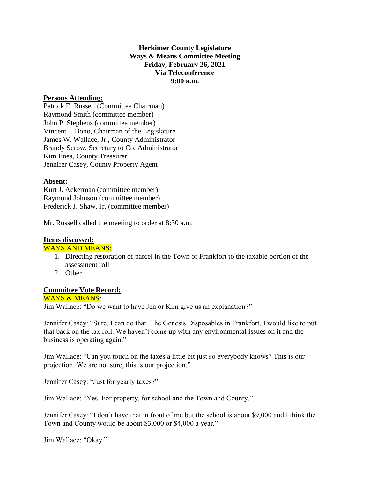**Herkimer County Legislature Ways & Means Committee Meeting Friday, February 26, 2021 Via Teleconference 9:00 a.m.**

# **Persons Attending:**

Patrick E. Russell (Committee Chairman) Raymond Smith (committee member) John P. Stephens (committee member) Vincent J. Bono, Chairman of the Legislature James W. Wallace, Jr., County Administrator Brandy Serow, Secretary to Co. Administrator Kim Enea, County Treasurer Jennifer Casey, County Property Agent

### **Absent:**

Kurt J. Ackerman (committee member) Raymond Johnson (committee member) Frederick J. Shaw, Jr. (committee member)

Mr. Russell called the meeting to order at 8:30 a.m.

# **Items discussed:**

### WAYS AND MEANS:

- 1. Directing restoration of parcel in the Town of Frankfort to the taxable portion of the assessment roll
- 2. Other

# **Committee Vote Record:**

### WAYS & MEANS:

Jim Wallace: "Do we want to have Jen or Kim give us an explanation?"

Jennifer Casey: "Sure, I can do that. The Genesis Disposables in Frankfort, I would like to put that back on the tax roll. We haven't come up with any environmental issues on it and the business is operating again."

Jim Wallace: "Can you touch on the taxes a little bit just so everybody knows? This is our projection. We are not sure, this is our projection."

Jennifer Casey: "Just for yearly taxes?"

Jim Wallace: "Yes. For property, for school and the Town and County."

Jennifer Casey: "I don't have that in front of me but the school is about \$9,000 and I think the Town and County would be about \$3,000 or \$4,000 a year."

Jim Wallace: "Okay."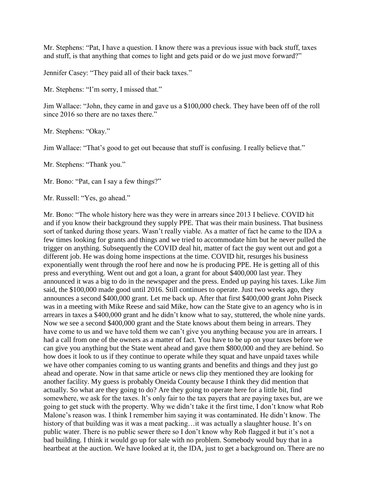Mr. Stephens: "Pat, I have a question. I know there was a previous issue with back stuff, taxes and stuff, is that anything that comes to light and gets paid or do we just move forward?"

Jennifer Casey: "They paid all of their back taxes."

Mr. Stephens: "I'm sorry, I missed that."

Jim Wallace: "John, they came in and gave us a \$100,000 check. They have been off of the roll since 2016 so there are no taxes there."

Mr. Stephens: "Okay."

Jim Wallace: "That's good to get out because that stuff is confusing. I really believe that."

Mr. Stephens: "Thank you."

Mr. Bono: "Pat, can I say a few things?"

Mr. Russell: "Yes, go ahead."

Mr. Bono: "The whole history here was they were in arrears since 2013 I believe. COVID hit and if you know their background they supply PPE. That was their main business. That business sort of tanked during those years. Wasn't really viable. As a matter of fact he came to the IDA a few times looking for grants and things and we tried to accommodate him but he never pulled the trigger on anything. Subsequently the COVID deal hit, matter of fact the guy went out and got a different job. He was doing home inspections at the time. COVID hit, resurges his business exponentially went through the roof here and now he is producing PPE. He is getting all of this press and everything. Went out and got a loan, a grant for about \$400,000 last year. They announced it was a big to do in the newspaper and the press. Ended up paying his taxes. Like Jim said, the \$100,000 made good until 2016. Still continues to operate. Just two weeks ago, they announces a second \$400,000 grant. Let me back up. After that first \$400,000 grant John Piseck was in a meeting with Mike Reese and said Mike, how can the State give to an agency who is in arrears in taxes a \$400,000 grant and he didn't know what to say, stuttered, the whole nine yards. Now we see a second \$400,000 grant and the State knows about them being in arrears. They have come to us and we have told them we can't give you anything because you are in arrears. I had a call from one of the owners as a matter of fact. You have to be up on your taxes before we can give you anything but the State went ahead and gave them \$800,000 and they are behind. So how does it look to us if they continue to operate while they squat and have unpaid taxes while we have other companies coming to us wanting grants and benefits and things and they just go ahead and operate. Now in that same article or news clip they mentioned they are looking for another facility. My guess is probably Oneida County because I think they did mention that actually. So what are they going to do? Are they going to operate here for a little bit, find somewhere, we ask for the taxes. It's only fair to the tax payers that are paying taxes but, are we going to get stuck with the property. Why we didn't take it the first time, I don't know what Rob Malone's reason was. I think I remember him saying it was contaminated. He didn't know. The history of that building was it was a meat packing...it was actually a slaughter house. It's on public water. There is no public sewer there so I don't know why Rob flagged it but it's not a bad building. I think it would go up for sale with no problem. Somebody would buy that in a heartbeat at the auction. We have looked at it, the IDA, just to get a background on. There are no